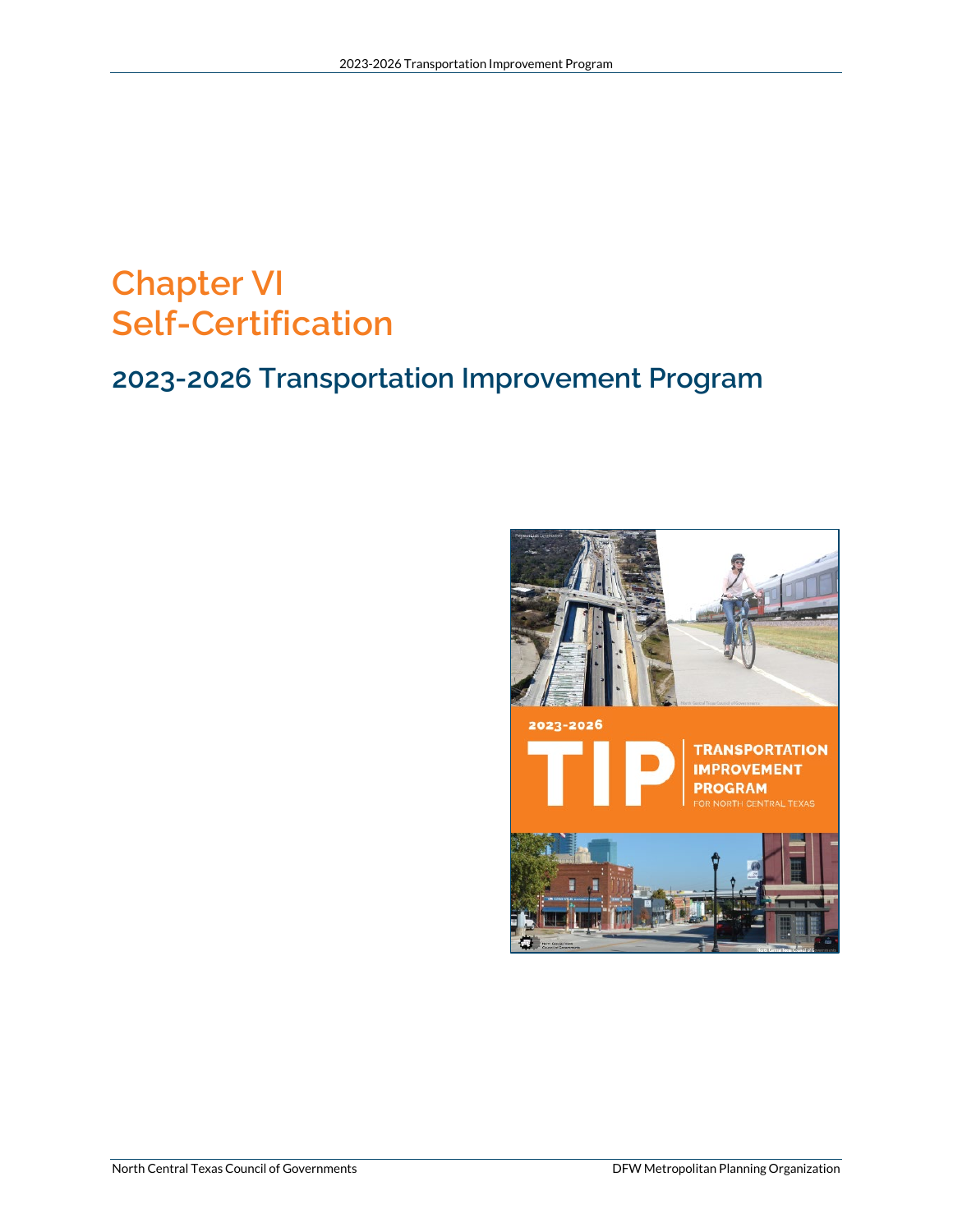# **Chapter VI Self-Certification**

# **2023-2026 Transportation Improvement Program**

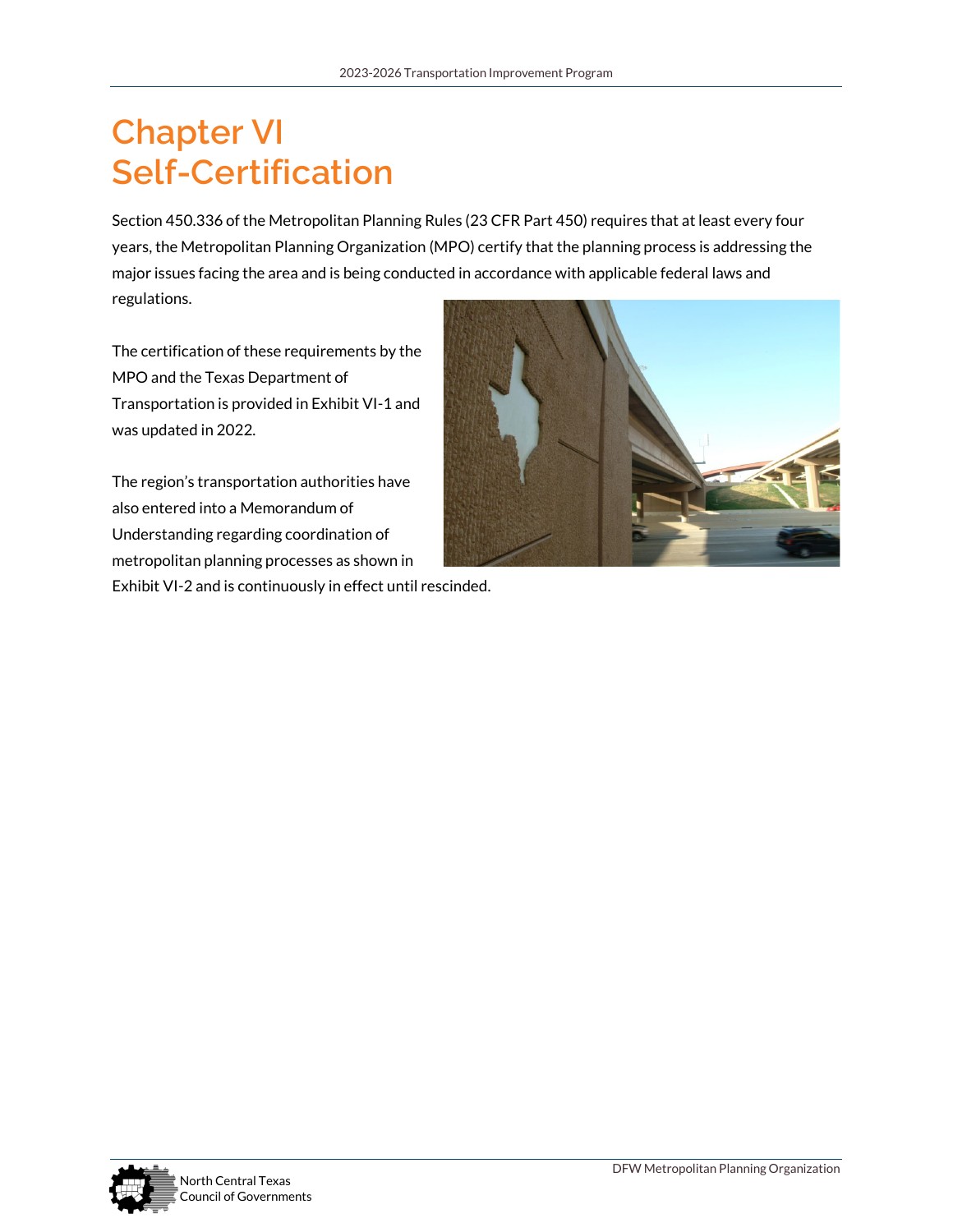# **Chapter VI Self-Certification**

Section 450.336 of the Metropolitan Planning Rules (23 CFR Part 450) requires that at least every four years, the Metropolitan Planning Organization (MPO) certify that the planning process is addressing the major issues facing the area and is being conducted in accordance with applicable federal laws and regulations.

The certification of these requirements by the MPO and the Texas Department of Transportation is provided in Exhibit VI-1 and was updated in 2022.

The region's transportation authorities have also entered into a Memorandum of Understanding regarding coordination of metropolitan planning processes as shown in



Exhibit VI-2 and is continuously in effect until rescinded.

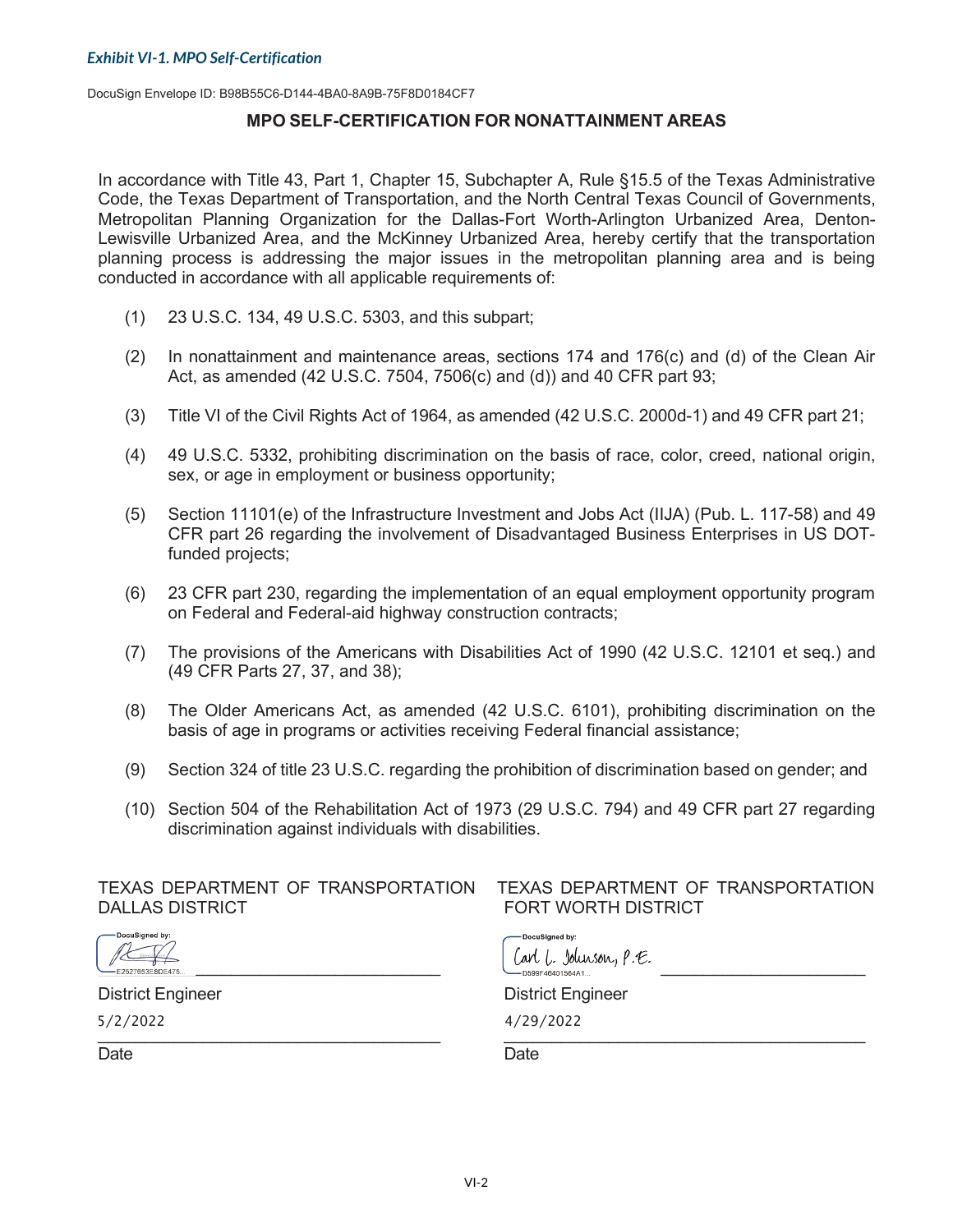DocuSign Envelope ID: B98B55C6-D144-4BA0-8A9B-75F8D0184CF7

#### **MPO SELF-CERTIFICATION FOR NONATTAINMENT AREAS**

In accordance with Title 43, Part 1, Chapter 15, Subchapter A, Rule §15.5 of the Texas Administrative Code, the Texas Department of Transportation, and the North Central Texas Council of Governments, Metropolitan Planning Organization for the Dallas-Fort Worth-Arlington Urbanized Area, Denton-Lewisville Urbanized Area, and the McKinney Urbanized Area, hereby certify that the transportation planning process is addressing the major issues in the metropolitan planning area and is being conducted in accordance with all applicable requirements of:

- (1) 23 U.S.C. 134, 49 U.S.C. 5303, and this subpart;
- (2) In nonattainment and maintenance areas, sections 174 and 176(c) and (d) of the Clean Air Act, as amended (42 U.S.C. 7504, 7506(c) and (d)) and 40 CFR part 93;
- (3) Title VI of the Civil Rights Act of 1964, as amended (42 U.S.C. 2000d-1) and 49 CFR part 21;
- (4) 49 U.S.C. 5332, prohibiting discrimination on the basis of race, color, creed, national origin, sex, or age in employment or business opportunity;
- (5) Section 11101(e) of the Infrastructure Investment and Jobs Act (IIJA) (Pub. L. 117-58) and 49 CFR part 26 regarding the involvement of Disadvantaged Business Enterprises in US DOTfunded projects;
- (6) 23 CFR part 230, regarding the implementation of an equal employment opportunity program on Federal and Federal-aid highway construction contracts;
- (7) The provisions of the Americans with Disabilities Act of 1990 (42 U.S.C. 12101 et seq.) and (49 CFR Parts 27, 37, and 38);
- (8) The Older Americans Act, as amended (42 U.S.C. 6101), prohibiting discrimination on the basis of age in programs or activities receiving Federal financial assistance;
- (9) Section 324 of title 23 U.S.C. regarding the prohibition of discrimination based on gender; and
- (10) Section 504 of the Rehabilitation Act of 1973 (29 U.S.C. 794) and 49 CFR part 27 regarding discrimination against individuals with disabilities.

# DALLAS DISTRICT FORT WORTH DISTRICT

# TEXAS DEPARTMENT OF TRANSPORTATION TEXAS DEPARTMENT OF TRANSPORTATION

 $\frac{1}{2}$  ,  $\frac{1}{2}$  ,  $\frac{1}{2}$  ,  $\frac{1}{2}$  ,  $\frac{1}{2}$  ,  $\frac{1}{2}$  ,  $\frac{1}{2}$  ,  $\frac{1}{2}$  ,  $\frac{1}{2}$  ,  $\frac{1}{2}$  ,  $\frac{1}{2}$  ,  $\frac{1}{2}$  ,  $\frac{1}{2}$  ,  $\frac{1}{2}$  ,  $\frac{1}{2}$  ,  $\frac{1}{2}$  ,  $\frac{1}{2}$  ,  $\frac{1}{2}$  ,  $\frac{1$  $5/2/2022$ 

DocuSigned by:  $\begin{array}{ccc}\n\sqrt{16} & \sqrt{16} & \sqrt{16} \\
\sqrt{16} & \sqrt{16} & \sqrt{16} & \sqrt{16} \\
-\sqrt{16} & \sqrt{16} & \sqrt{16} & \sqrt{16} \\
-\sqrt{16} & \sqrt{16} & \sqrt{16} & \sqrt{16} \\
-\sqrt{16} & \sqrt{16} & \sqrt{16} & \sqrt{16} \\
-\sqrt{16} & \sqrt{16} & \sqrt{16} & \sqrt{16} \\
-\sqrt{16} & \sqrt{16} & \sqrt{16} & \sqrt{16} \\
-\sqrt{16} & \sqrt{16} & \sqrt{16} & \sqrt$ 

District Engineer District Engineer

 $22$  4/29/2022

Date **Date Date Date Date Date Date**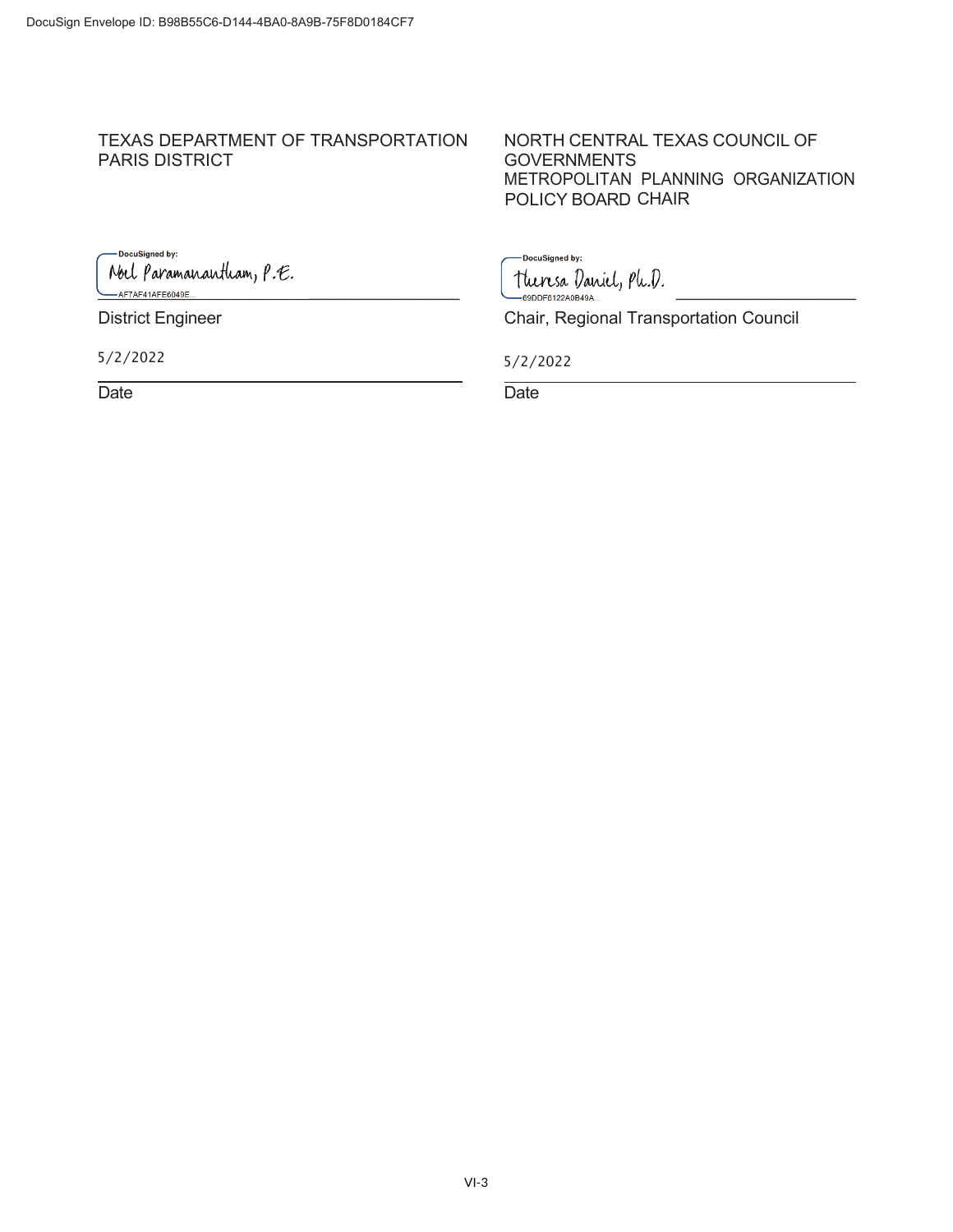# TEXAS DEPARTMENT OF TRANSPORTATION NORTH CENTRAL TEXAS COUNCIL OF PARIS DISTRICT

POLICY BOARD CHAIR **GOVERNMENTS** METROPOLITAN PLANNING ORGANIZATION

-DocuSigned by: Noel Paramanantham, P.E. bel Paramanantham, P.E.<br>-AF7AF41AFE6049E... CONDECTED SODDF6122A0B49A...

 $5/2/20$ 

Date **Date Date Date Date Date Date** 

-<br>DocuSigned by:

District Engineer Chair, Regional Transportation Council

22 5/2/2022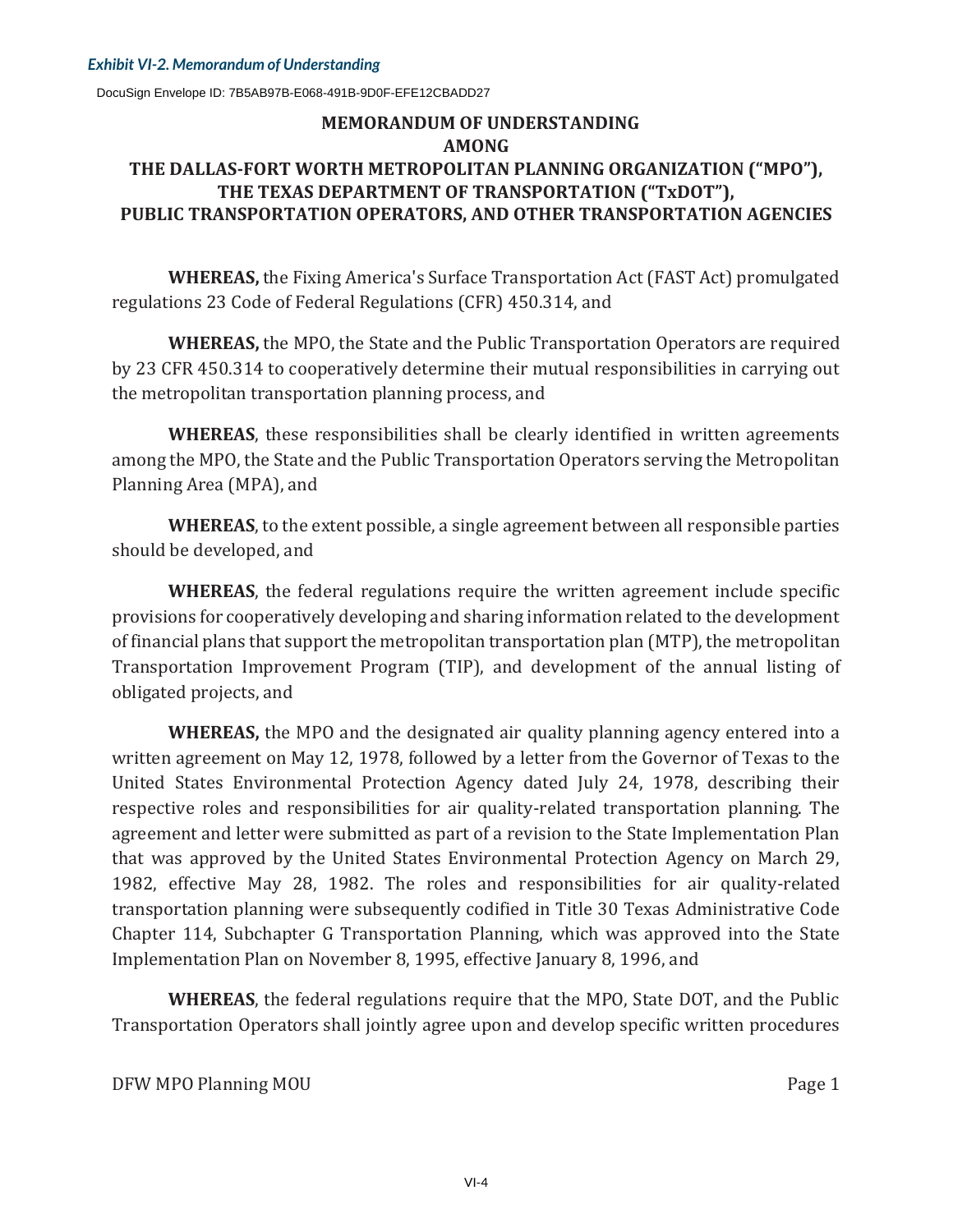DocuSign Envelope ID: 7B5AB97B-E068-491B-9D0F-EFE12CBADD27

## **MEMORANDUM OF UNDERSTANDING AMONG THE DALLAS-FORT WORTH METROPOLITAN PLANNING ORGANIZATION ("MPO"), THE TEXAS DEPARTMENT OF TRANSPORTATION ("TxDOT"), PUBLIC TRANSPORTATION OPERATORS, AND OTHER TRANSPORTATION AGENCIES**

**WHEREAS,** the Fixing America's Surface Transportation Act (FAST Act) promulgated regulations 23 Code of Federal Regulations (CFR) 450.314, and

**WHEREAS,** the MPO, the State and the Public Transportation Operators are required by 23 CFR 450.314 to cooperatively determine their mutual responsibilities in carrying out the metropolitan transportation planning process, and

**WHEREAS**, these responsibilities shall be clearly identified in written agreements among the MPO, the State and the Public Transportation Operators serving the Metropolitan Planning Area (MPA), and

**WHEREAS**, to the extent possible, a single agreement between all responsible parties should be developed, and

**WHEREAS**, the federal regulations require the written agreement include specific provisions for cooperatively developing and sharing information related to the development of financial plans that support the metropolitan transportation plan (MTP), the metropolitan Transportation Improvement Program (TIP), and development of the annual listing of obligated projects, and

**WHEREAS,** the MPO and the designated air quality planning agency entered into a written agreement on May 12, 1978, followed by a letter from the Governor of Texas to the United States Environmental Protection Agency dated July 24, 1978, describing their respective roles and responsibilities for air quality-related transportation planning. The agreement and letter were submitted as part of a revision to the State Implementation Plan that was approved by the United States Environmental Protection Agency on March 29, 1982, effective May 28, 1982. The roles and responsibilities for air quality-related transportation planning were subsequently codified in Title 30 Texas Administrative Code Chapter 114, Subchapter G Transportation Planning, which was approved into the State Implementation Plan on November 8, 1995, effective January 8, 1996, and

**WHEREAS**, the federal regulations require that the MPO, State DOT, and the Public Transportation Operators shall jointly agree upon and develop specific written procedures

DFW MPO Planning MOU **Server Account of the Contract OF Account Contract OF Account Contract OF Account Contract O**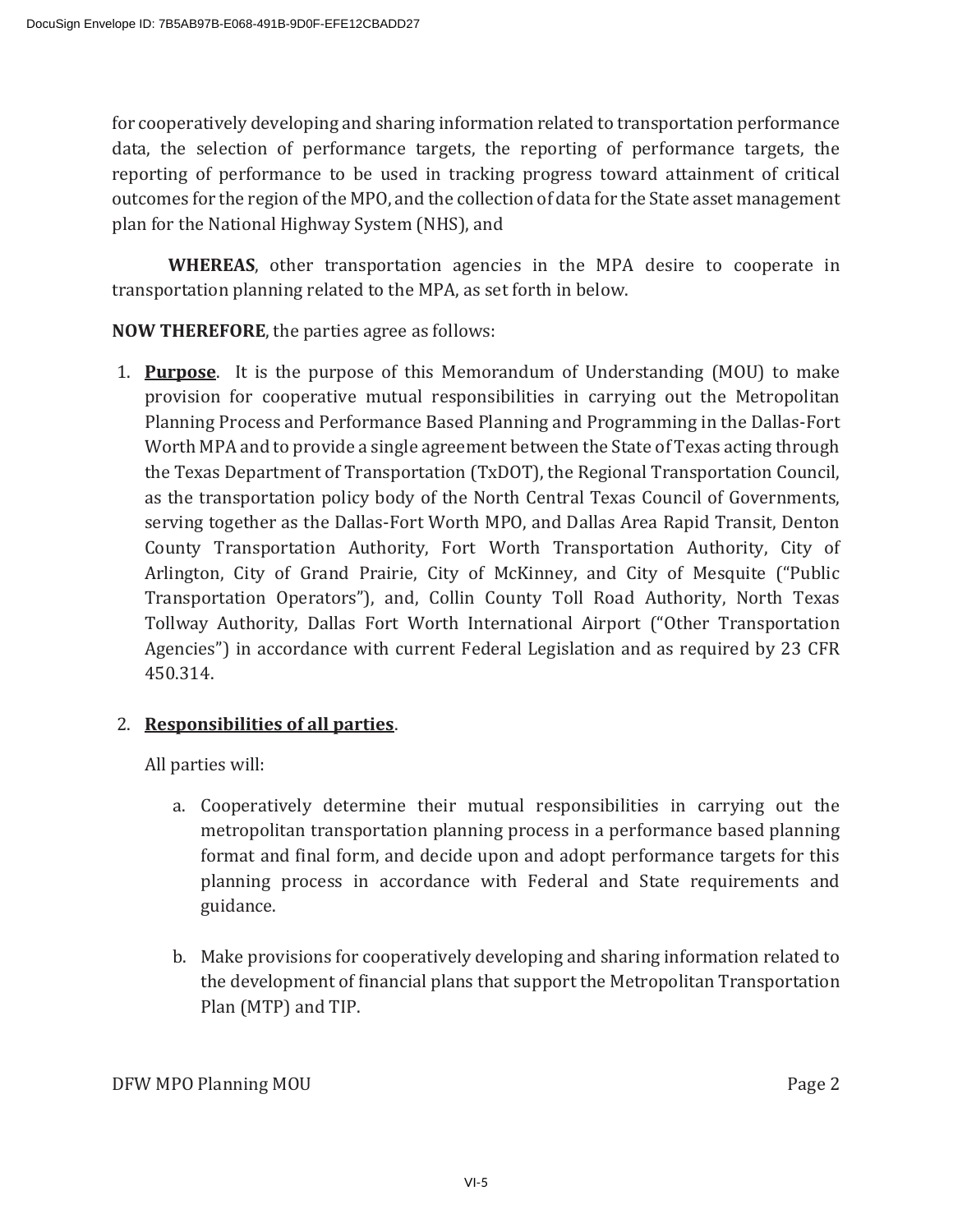for cooperatively developing and sharing information related to transportation performance data, the selection of performance targets, the reporting of performance targets, the reporting of performance to be used in tracking progress toward attainment of critical outcomes for the region of the MPO, and the collection of data for the State asset management plan for the National Highway System (NHS), and

**WHEREAS**, other transportation agencies in the MPA desire to cooperate in transportation planning related to the MPA, as set forth in below.

**NOW THEREFORE**, the parties agree as follows:

1. **Purpose** It is the purpose of this Memorandum of Understanding (MOU) to make provision for cooperative mutual responsibilities in carrying out the Metropolitan Planning Process and Performance Based Planning and Programming in the Dallas-Fort Worth MPA and to provide a single agreement between the State of Texas acting through the Texas Department of Transportation (TxDOT), the Regional Transportation Council, as the transportation policy body of the North Central Texas Council of Governments, serving together as the Dallas-Fort Worth MPO, and Dallas Area Rapid Transit, Denton County Transportation Authority, Fort Worth Transportation Authority, City of Arlington, City of Grand Prairie, City of McKinney, and City of Mesquite ("Public Transportation Operators"), and, Collin County Toll Road Authority, North Texas Tollway Authority, Dallas Fort Worth International Airport ("Other Transportation Agencies") in accordance with current Federal Legislation and as required by 23 CFR 450.314.

## 2. Responsibilities of all parties.

All parties will:

- a. Cooperatively determine their mutual responsibilities in carrying out the metropolitan transportation planning process in a performance based planning format and final form, and decide upon and adopt performance targets for this planning process in accordance with Federal and State requirements and guidance.
- b. Make provisions for cooperatively developing and sharing information related to the development of financial plans that support the Metropolitan Transportation Plan (MTP) and TIP.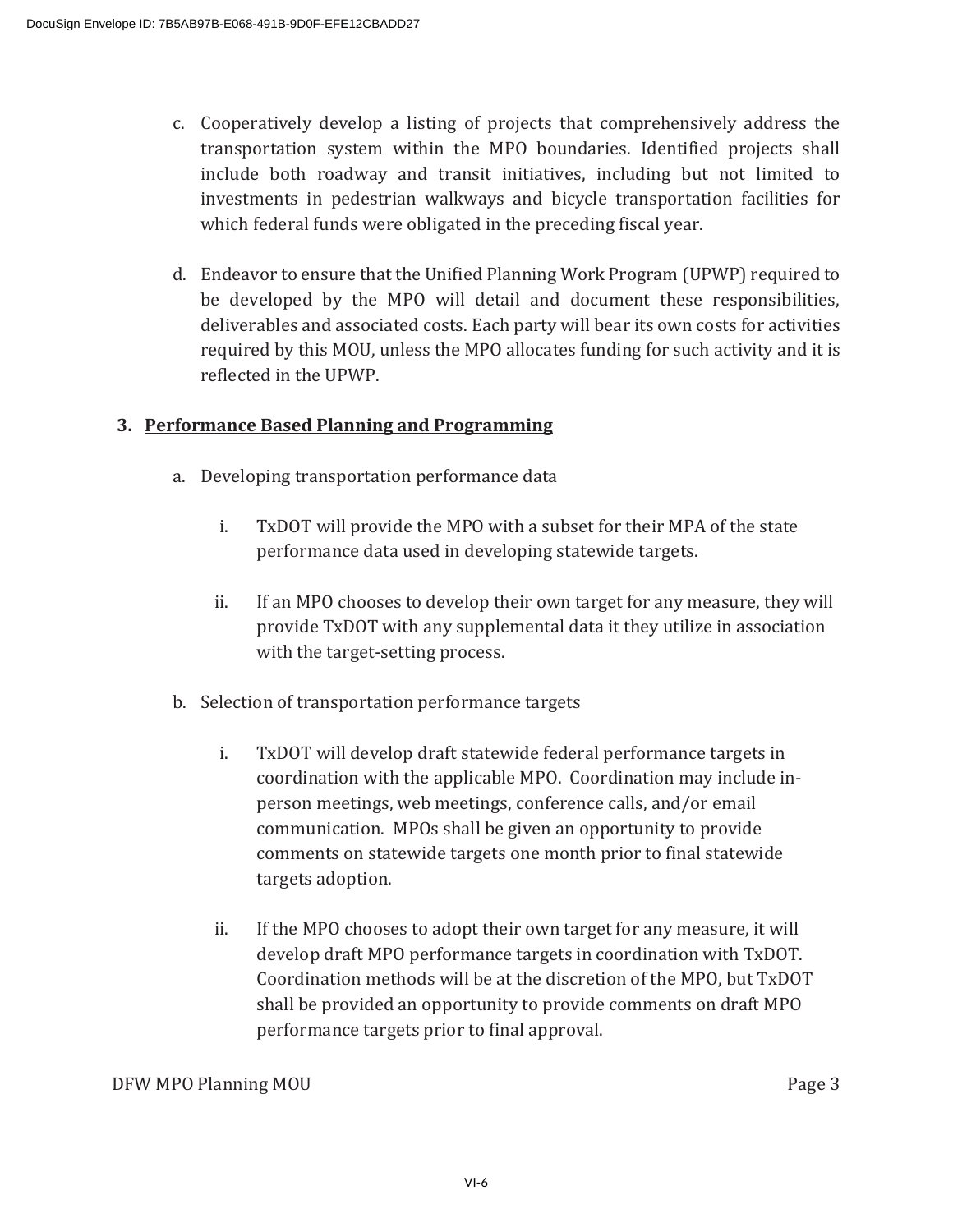- c. Cooperatively develop a listing of projects that comprehensively address the transportation system within the MPO boundaries. Identified projects shall include both roadway and transit initiatives, including but not limited to investments in pedestrian walkways and bicycle transportation facilities for which federal funds were obligated in the preceding fiscal year.
- d. Endeavor to ensure that the Unified Planning Work Program (UPWP) required to be developed by the MPO will detail and document these responsibilities, deliverables and associated costs. Each party will bear its own costs for activities required by this MOU, unless the MPO allocates funding for such activity and it is reflected in the UPWP.

## **3. Performance Based Planning and Programming**

- a. Developing transportation performance data
	- i. TxDOT will provide the MPO with a subset for their MPA of the state performance data used in developing statewide targets.
	- ii. If an MPO chooses to develop their own target for any measure, they will provide TxDOT with any supplemental data it they utilize in association with the target-setting process.
- b. Selection of transportation performance targets
	- i. TxDOT will develop draft statewide federal performance targets in coordination with the applicable MPO. Coordination may include inperson meetings, web meetings, conference calls, and/or email communication. MPOs shall be given an opportunity to provide comments on statewide targets one month prior to final statewide targets adoption.
	- ii. If the MPO chooses to adopt their own target for any measure, it will develop draft MPO performance targets in coordination with TxDOT. Coordination methods will be at the discretion of the MPO, but TxDOT shall be provided an opportunity to provide comments on draft MPO performance targets prior to final approval.

**DFW MPO Planning MOU Since the Contract of the Contract of the Contract of the Contract of the Contract of the Contract of the Contract of the Contract of the Contract of the Contract of the Contract of the Contract of**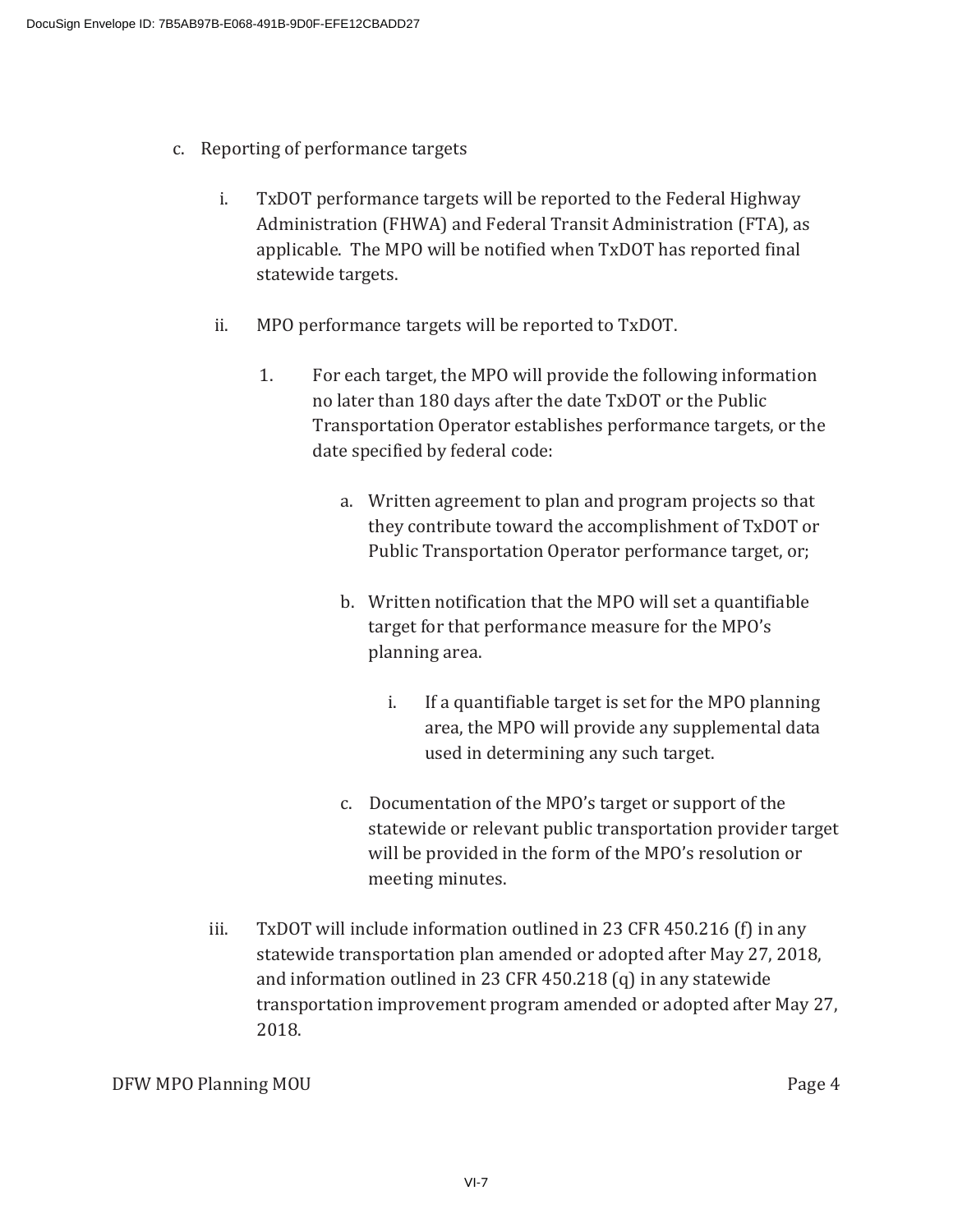- c. Reporting of performance targets
	- i. TxDOT performance targets will be reported to the Federal Highway Administration (FHWA) and Federal Transit Administration (FTA), as applicable. The MPO will be notified when TxDOT has reported final statewide targets.
	- ii. MPO performance targets will be reported to TxDOT.
		- 1. For each target, the MPO will provide the following information no later than 180 days after the date TxDOT or the Public Transportation Operator establishes performance targets, or the date specified by federal code:
			- a. Written agreement to plan and program projects so that they contribute toward the accomplishment of TxDOT or Public Transportation Operator performance target, or;
			- b. Written notification that the MPO will set a quantifiable target for that performance measure for the MPO's planning area.
				- i. If a quantifiable target is set for the MPO planning area, the MPO will provide any supplemental data used in determining any such target.
			- c. Documentation of the MPO's target or support of the statewide or relevant public transportation provider target will be provided in the form of the MPO's resolution or meeting minutes.
	- iii. TxD0T will include information outlined in 23 CFR 450.216 (f) in any statewide transportation plan amended or adopted after May 27, 2018, and information outlined in 23 CFR  $450.218$  (q) in any statewide transportation improvement program amended or adopted after May 27, 2018.

DFW MPO Planning MOU **Analyzing the Contract of the Contract of the Contract of the Contract of the Contract of the Contract of the Contract of the Contract of the Contract of the Contract of the Contract of the Contract o**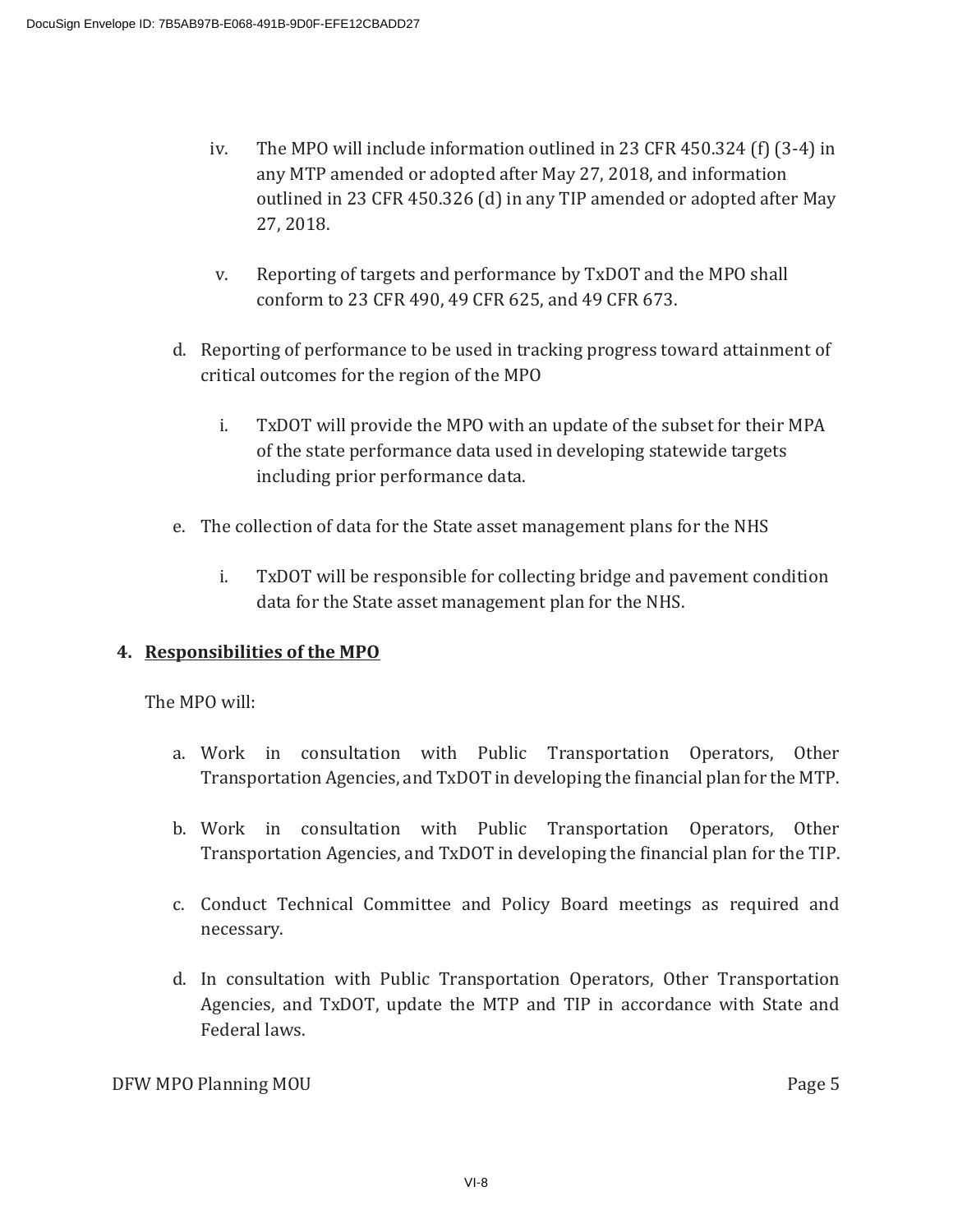- iv. The MPO will include information outlined in 23 CFR 450.324 (f)  $(3-4)$  in any MTP amended or adopted after May 27, 2018, and information outlined in 23 CFR 450.326 (d) in any TIP amended or adopted after May  $27, 2018.$
- v. Reporting of targets and performance by TxDOT and the MPO shall conform to 23 CFR 490, 49 CFR 625, and 49 CFR 673.
- d. Reporting of performance to be used in tracking progress toward attainment of critical outcomes for the region of the MPO
	- i. TxDOT will provide the MPO with an update of the subset for their MPA of the state performance data used in developing statewide targets including prior performance data.
- e. The collection of data for the State asset management plans for the NHS
	- i. TxDOT will be responsible for collecting bridge and pavement condition data for the State asset management plan for the NHS.

## **4. Responsibilities of the MPO**

The MPO will:

- a. Work in consultation with Public Transportation Operators, Other Transportation Agencies, and TxDOT in developing the financial plan for the MTP.
- b. Work in consultation with Public Transportation Operators, Other Transportation Agencies, and TxDOT in developing the financial plan for the TIP.
- c. Conduct Technical Committee and Policy Board meetings as required and necessary.
- d. In consultation with Public Transportation Operators, Other Transportation Agencies, and TxDOT, update the MTP and TIP in accordance with State and Federal laws.

DFW MPO Planning MOU **Analyzing the Contract of the Contract of the Contract of the Contract of the Contract of the Contract of the Contract of the Contract of the Contract of the Contract of the Contract of the Contract o**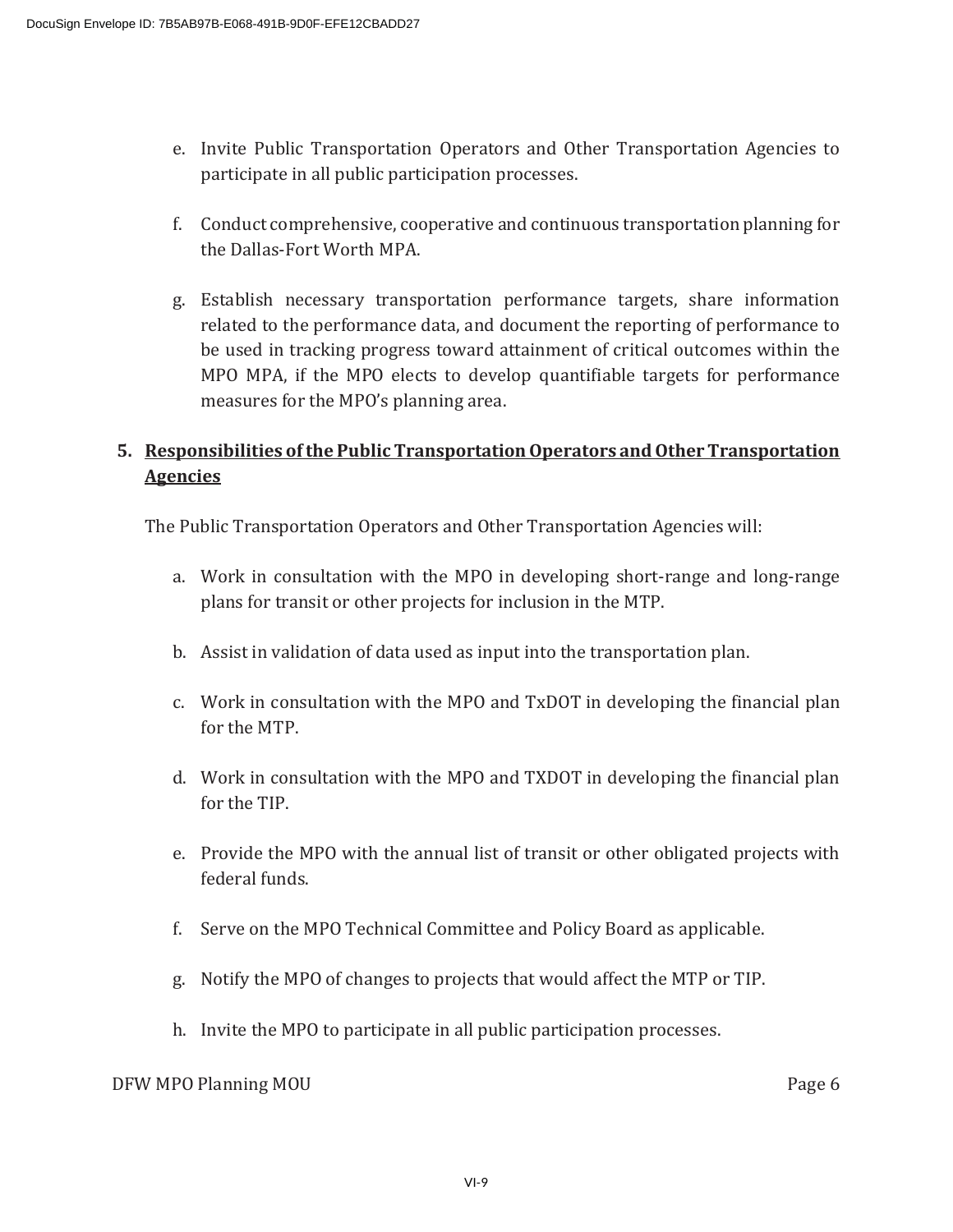- e. Invite Public Transportation Operators and Other Transportation Agencies to participate in all public participation processes.
- f. Conduct comprehensive, cooperative and continuous transportation planning for the Dallas-Fort Worth MPA.
- g. Establish necessary transportation performance targets, share information related to the performance data, and document the reporting of performance to be used in tracking progress toward attainment of critical outcomes within the MPO MPA, if the MPO elects to develop quantifiable targets for performance measures for the MPO's planning area.

## **5. Responsibilities of the Public Transportation Operators and Other Transportation Agencies**

The Public Transportation Operators and Other Transportation Agencies will:

- a. Work in consultation with the MPO in developing short-range and long-range plans for transit or other projects for inclusion in the MTP.
- b. Assist in validation of data used as input into the transportation plan.
- c. Work in consultation with the MPO and TxDOT in developing the financial plan for the MTP.
- d. Work in consultation with the MPO and TXDOT in developing the financial plan for the TIP.
- e. Provide the MPO with the annual list of transit or other obligated projects with federal funds.
- f. Serve on the MPO Technical Committee and Policy Board as applicable.
- g. Notify the MPO of changes to projects that would affect the MTP or TIP.
- h. Invite the MPO to participate in all public participation processes.

## DFW MPO Planning MOU **that is a set of the contract of the contract of the contract of the contract of the contract of the contract of the contract of the contract of the contract of the contract of the contract of the con**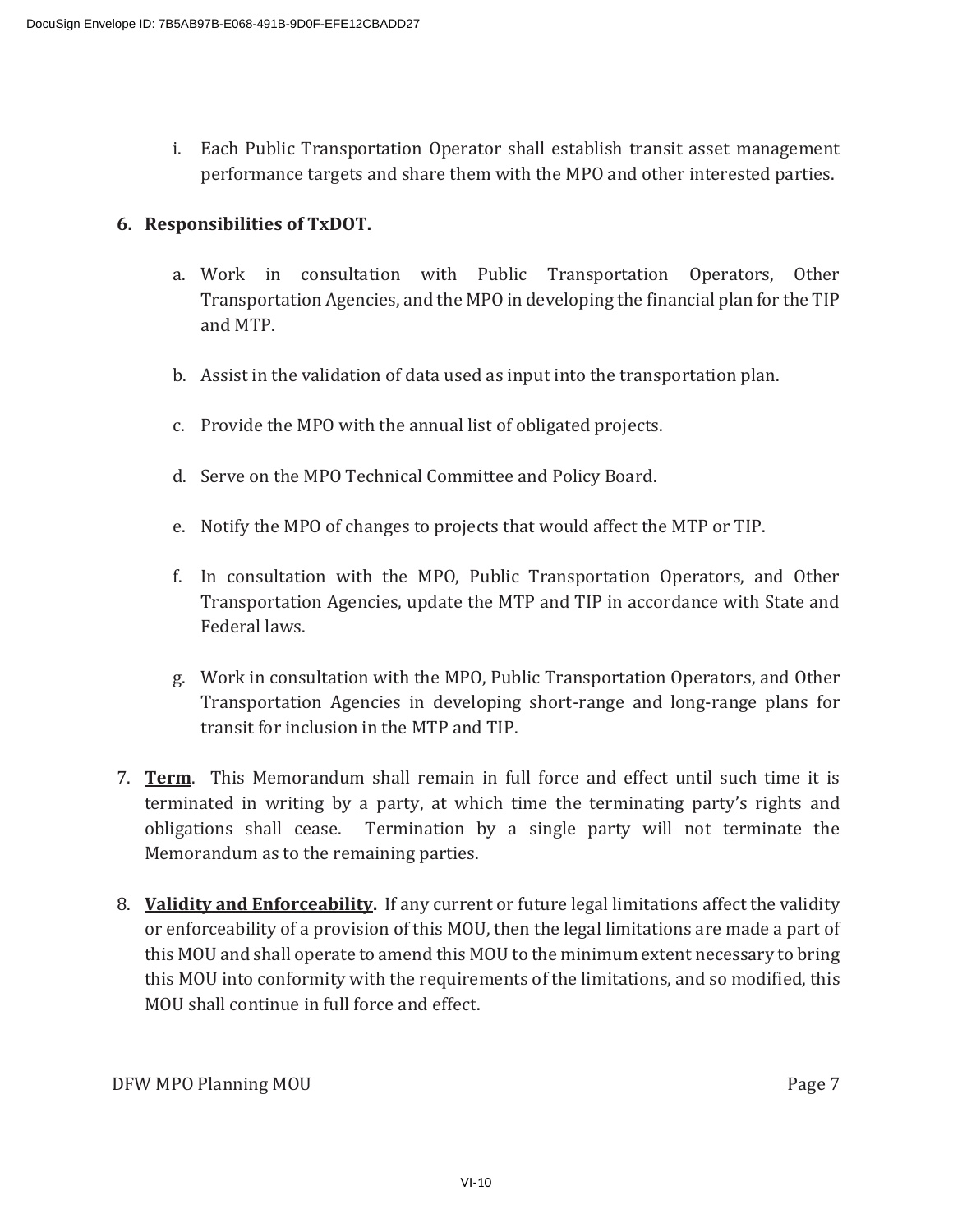i. Each Public Transportation Operator shall establish transit asset management performance targets and share them with the MPO and other interested parties.

## **6. Responsibilities of TxDOT.**

- a. Work in consultation with Public Transportation Operators, Other Transportation Agencies, and the MPO in developing the financial plan for the TIP and MTP.
- b. Assist in the validation of data used as input into the transportation plan.
- c. Provide the MPO with the annual list of obligated projects.
- d. Serve on the MPO Technical Committee and Policy Board.
- e. Notify the MPO of changes to projects that would affect the MTP or TIP.
- f. In consultation with the MPO, Public Transportation Operators, and Other Transportation Agencies, update the MTP and TIP in accordance with State and Federal laws.
- g. Work in consultation with the MPO, Public Transportation Operators, and Other Transportation Agencies in developing short-range and long-range plans for transit for inclusion in the MTP and TIP.
- 7. **Term.** This Memorandum shall remain in full force and effect until such time it is terminated in writing by a party, at which time the terminating party's rights and obligations shall cease. Termination by a single party will not terminate the Memorandum as to the remaining parties.
- 8. Validity and Enforceability. If any current or future legal limitations affect the validity or enforceability of a provision of this MOU, then the legal limitations are made a part of this MOU and shall operate to amend this MOU to the minimum extent necessary to bring this MOU into conformity with the requirements of the limitations, and so modified, this MOU shall continue in full force and effect.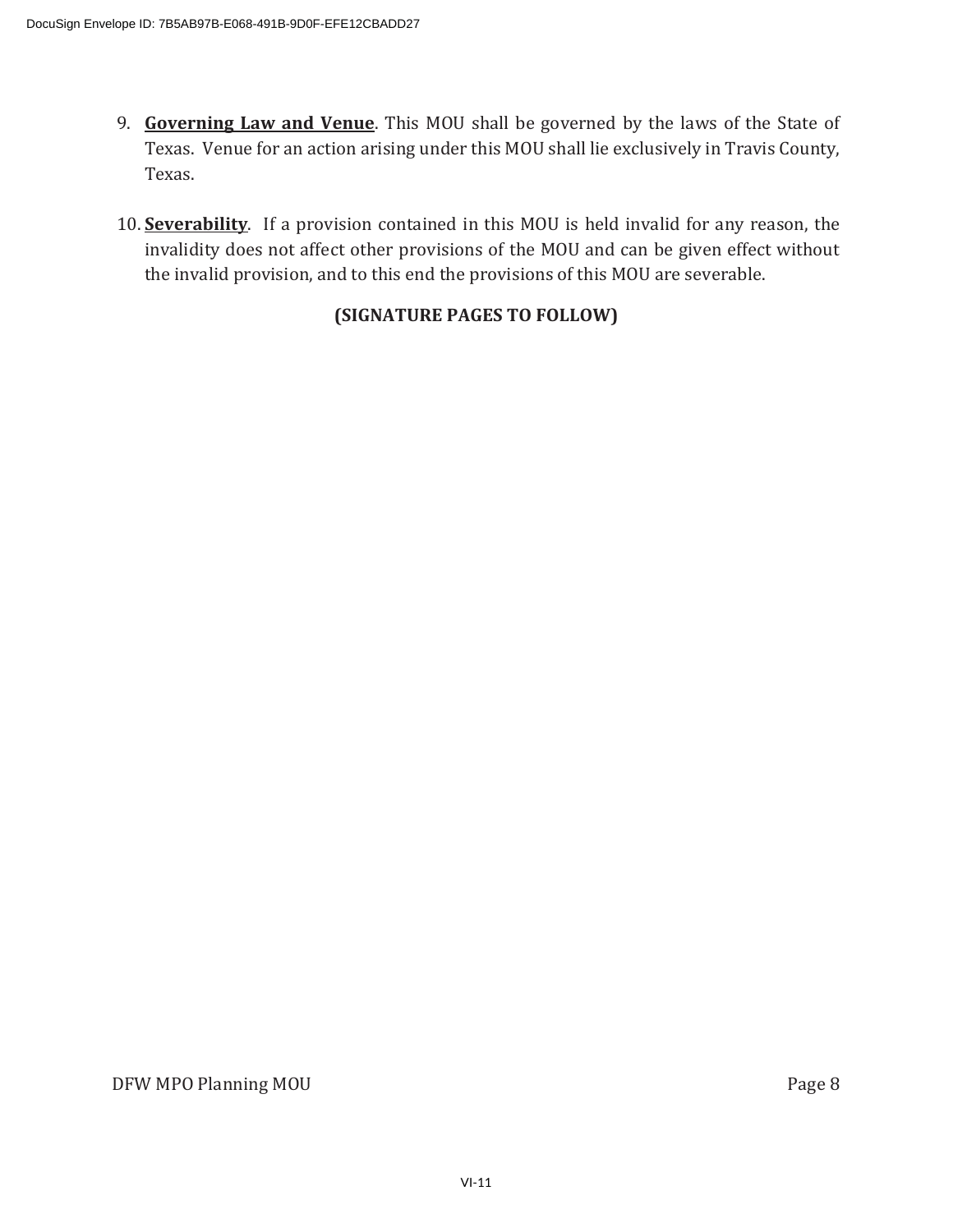- 9. Governing Law and Venue. This MOU shall be governed by the laws of the State of Texas. Venue for an action arising under this MOU shall lie exclusively in Travis County, Texas.
- 10. Severability. If a provision contained in this MOU is held invalid for any reason, the invalidity does not affect other provisions of the MOU and can be given effect without the invalid provision, and to this end the provisions of this MOU are severable.

## **(SIGNATURE PAGES TO FOLLOW)**

DFW MPO Planning MOU **Example 2018** Page 8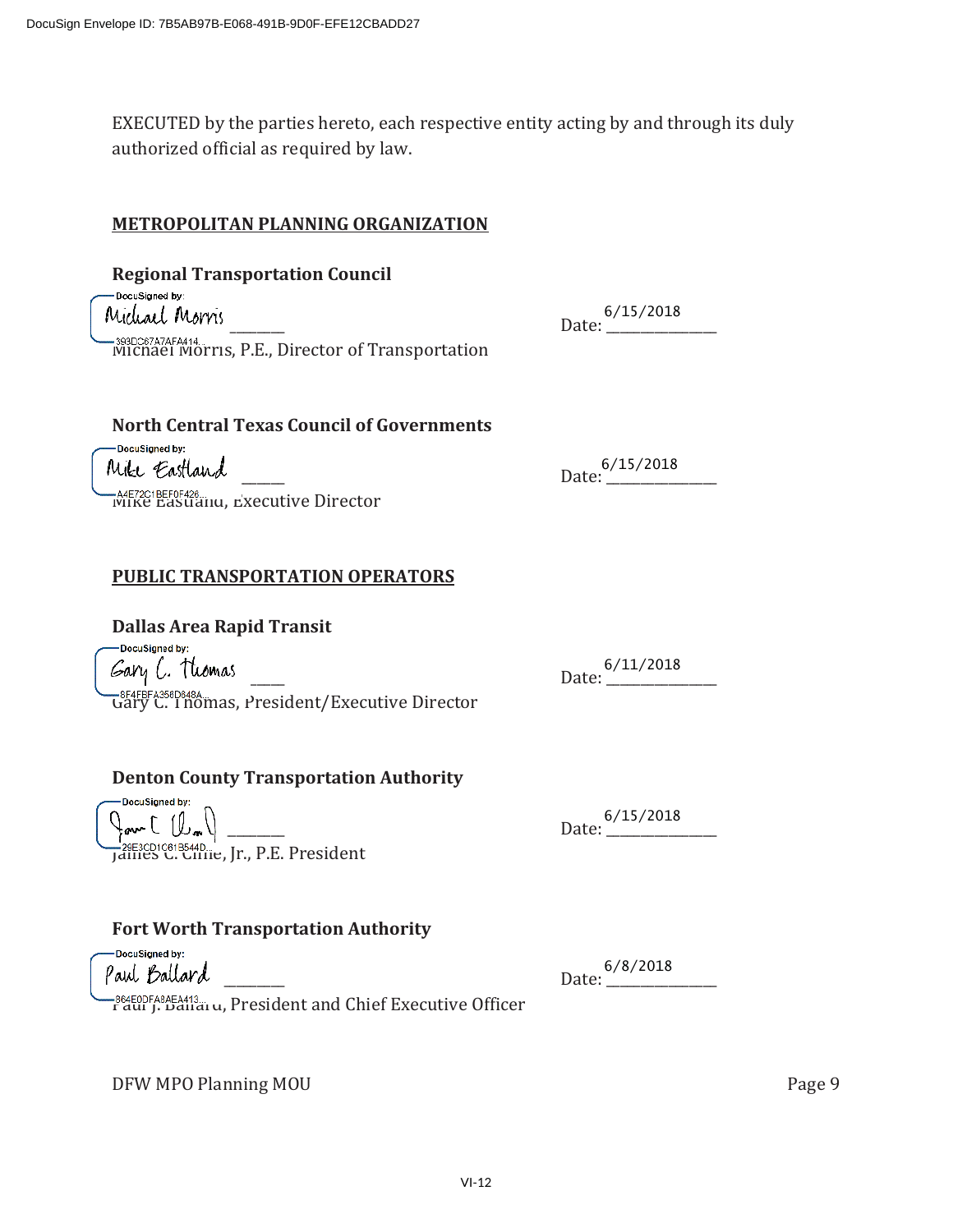EXECUTED by the parties hereto, each respective entity acting by and through its duly authorized official as required by law.

### **METROPOLITAN PLANNING ORGANIZATION**

**Regional Transportation Council**  DocuSigned by: Michael Morris Date: 5/15/201 -393DS67A7AFA414...<br>Michael Morris, P.E., Director of Transportation

### **North Central Texas Council of Governments**

DocuSigned by: Mike Eastland

| 6/15/2018 |  |
|-----------|--|
| Date:     |  |

6/15/2018

**-A4E72C1BEF0F428...**<br>IVIIKE Eastianu, Executive Director

## **PUBLIC TRANSPORTATION OPERATORS**

### **Dallas Area Rapid Transit**

- DocuSianed by: ̴̴̴̴̴̴̴̴̴̴̴̴̴̴̴̴̴̴̴̴̴̴̴̴̴ ǣ̴̴̴̴̴̴̴̴̴̴̴̴̴̴̴̴ <del>Gary C. Thomas, President/Executive Director</del>

**Denton County Transportation Authority** 

6/11/2018

̴̴̴̴̴̴̴̴̴̴̴̴̴̴̴̴̴̴̴̴̴̴̴̴̴ ǣ̴̴̴̴̴̴̴̴̴̴̴̴̴̴̴̴ -

<u>Janues C. Cimie</u>, Jr., P.E. President

## **Fort Worth Transportation Authority**

DocuSigned by: Paul Ballard 6/8/201

DocuSigned by:

6/8/2018

-864E0DFA8AEA413...<br>Faul J. Dallal u, President and Chief Executive Officer

DFW MPO Planning MOU **State of the COVID-10** of the Page 9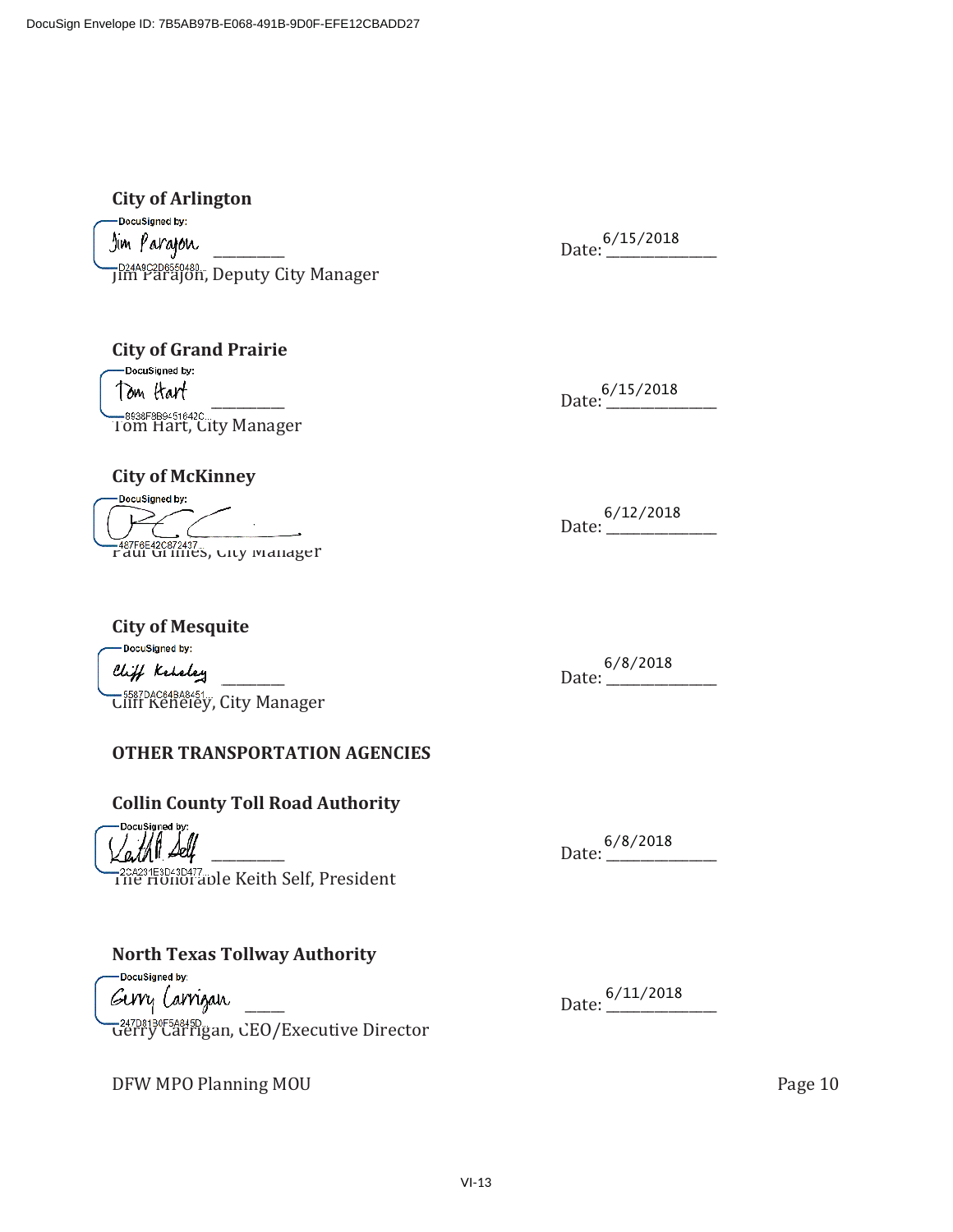**City of Arlington**  DocuSigned by: ̴̴̴̴̴̴̴̴̴̴̴̴̴̴̴̴̴̴̴̴̴̴̴̴̴ ǣ̴̴̴̴̴̴̴̴̴̴̴̴̴̴̴̴ - –<sup>p24A9C2D6550480…</sup>, Deputy City Manager

**City of Grand Prairie**  ̴̴̴̴̴̴̴̴̴̴̴̴̴̴̴̴̴̴̴̴̴̴̴̴̴ ǣ̴̴̴̴̴̴̴̴̴̴̴̴̴̴̴̴ - **SASSE SESS451642C.**<br>Tom Hart, City Manager

## **City of McKinney**

DocuSigned by: -<sup>487-66420872437...</sup><br>Paul Grimes, Gity Manager

̴̴̴̴̴̴̴̴̴̴̴̴̴̴̴̴̴̴̴̴̴̴̴̴̴ ǣ̴̴̴̴̴̴̴̴̴̴̴̴̴̴̴̴ 6/12/2018

6/8/2018

**City of Mesquite**  -DocuSigned by: Cliff Keteley <del>election</del> club the <sup>6/8/2018</sup>

-5587DAC64BA8451...<br>Cliff Keneley, City Manager

## **OTHER TRANSPORTATION AGENCIES**

## **Collin County Toll Road Authority**

DocuSigned by

-204231E8D43D477<br>1 ne Honoraple Keith Self, President

## **North Texas Tollway Authority**

DocuSigned by: ̴̴̴̴̴̴̴̴̴̴̴̴̴̴̴̴̴̴̴̴̴̴̴̴̴ ǣ̴̴̴̴̴̴̴̴̴̴̴̴̴̴̴̴ - <del>-24/08180F38843D...</del><br>Gerry Carrigan, CEO/Executive Director

DFW MPO Planning MOU **Analyzing the Contract of the Contract of the Contract of Contract of the Contract of Contract of Contract of Contract of Contract of Contract of Contract of Contract of Contract of Contract of Contra** 

Date: 6/8/2018